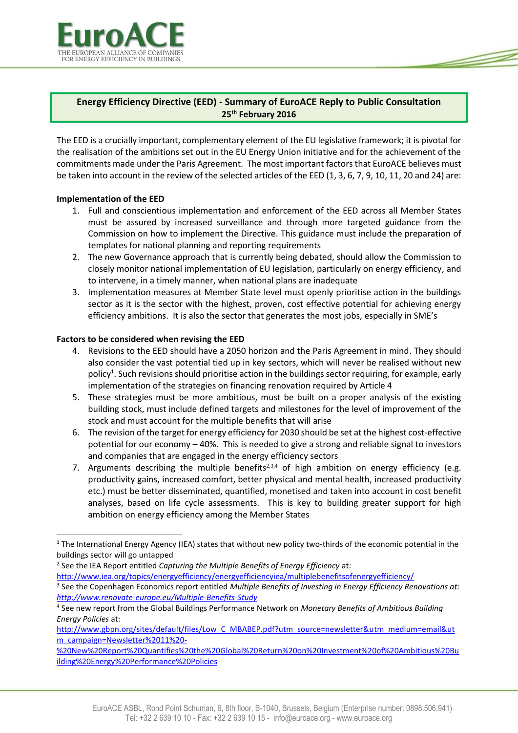

## **Energy Efficiency Directive (EED) - Summary of EuroACE Reply to Public Consultation 25th February 2016**

The EED is a crucially important, complementary element of the EU legislative framework; it is pivotal for the realisation of the ambitions set out in the EU Energy Union initiative and for the achievement of the commitments made under the Paris Agreement. The most important factors that EuroACE believes must be taken into account in the review of the selected articles of the EED (1, 3, 6, 7, 9, 10, 11, 20 and 24) are:

## **Implementation of the EED**

l

- 1. Full and conscientious implementation and enforcement of the EED across all Member States must be assured by increased surveillance and through more targeted guidance from the Commission on how to implement the Directive. This guidance must include the preparation of templates for national planning and reporting requirements
- 2. The new Governance approach that is currently being debated, should allow the Commission to closely monitor national implementation of EU legislation, particularly on energy efficiency, and to intervene, in a timely manner, when national plans are inadequate
- 3. Implementation measures at Member State level must openly prioritise action in the buildings sector as it is the sector with the highest, proven, cost effective potential for achieving energy efficiency ambitions. It is also the sector that generates the most jobs, especially in SME's

## **Factors to be considered when revising the EED**

- 4. Revisions to the EED should have a 2050 horizon and the Paris Agreement in mind. They should also consider the vast potential tied up in key sectors, which will never be realised without new policy<sup>1</sup>. Such revisions should prioritise action in the buildings sector requiring, for example, early implementation of the strategies on financing renovation required by Article 4
- 5. These strategies must be more ambitious, must be built on a proper analysis of the existing building stock, must include defined targets and milestones for the level of improvement of the stock and must account for the multiple benefits that will arise
- 6. The revision of the target for energy efficiency for 2030 should be set at the highest cost-effective potential for our economy – 40%. This is needed to give a strong and reliable signal to investors and companies that are engaged in the energy efficiency sectors
- 7. Arguments describing the multiple benefits<sup>2,3,4</sup> of high ambition on energy efficiency (e.g. productivity gains, increased comfort, better physical and mental health, increased productivity etc.) must be better disseminated, quantified, monetised and taken into account in cost benefit analyses, based on life cycle assessments. This is key to building greater support for high ambition on energy efficiency among the Member States

2 See the IEA Report entitled *Capturing the Multiple Benefits of Energy Efficiency* at:

<http://www.iea.org/topics/energyefficiency/energyefficiencyiea/multiplebenefitsofenergyefficiency/>

[http://www.gbpn.org/sites/default/files/Low\\_C\\_MBABEP.pdf?utm\\_source=newsletter&utm\\_medium=email&ut](http://www.gbpn.org/sites/default/files/Low_C_MBABEP.pdf?utm_source=newsletter&utm_medium=email&utm_campaign=Newsletter%2011%20-%20New%20Report%20Quantifies%20the%20Global%20Return%20on%20Investment%20of%20Ambitious%20Building%20Energy%20Performance%20Policies) [m\\_campaign=Newsletter%2011%20-](http://www.gbpn.org/sites/default/files/Low_C_MBABEP.pdf?utm_source=newsletter&utm_medium=email&utm_campaign=Newsletter%2011%20-%20New%20Report%20Quantifies%20the%20Global%20Return%20on%20Investment%20of%20Ambitious%20Building%20Energy%20Performance%20Policies)

[%20New%20Report%20Quantifies%20the%20Global%20Return%20on%20Investment%20of%20Ambitious%20Bu](http://www.gbpn.org/sites/default/files/Low_C_MBABEP.pdf?utm_source=newsletter&utm_medium=email&utm_campaign=Newsletter%2011%20-%20New%20Report%20Quantifies%20the%20Global%20Return%20on%20Investment%20of%20Ambitious%20Building%20Energy%20Performance%20Policies) [ilding%20Energy%20Performance%20Policies](http://www.gbpn.org/sites/default/files/Low_C_MBABEP.pdf?utm_source=newsletter&utm_medium=email&utm_campaign=Newsletter%2011%20-%20New%20Report%20Quantifies%20the%20Global%20Return%20on%20Investment%20of%20Ambitious%20Building%20Energy%20Performance%20Policies)

 $1$  The International Energy Agency (IEA) states that without new policy two-thirds of the economic potential in the buildings sector will go untapped

<sup>3</sup> See the Copenhagen Economics report entitled *Multiple Benefits of Investing in Energy Efficiency Renovations at: <http://www.renovate-europe.eu/Multiple-Benefits-Study>*

<sup>4</sup> See new report from the Global Buildings Performance Network on *Monetary Benefits of Ambitious Building Energy Policies* at: